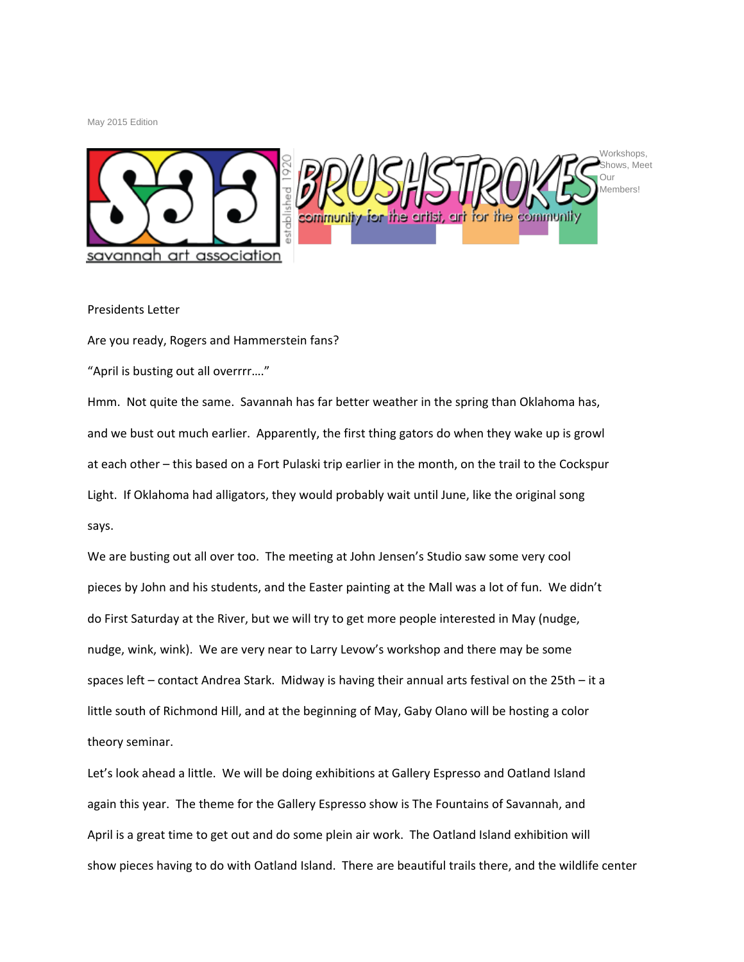May 2015 Edition



## Presidents Letter

Are you ready, Rogers and Hammerstein fans?

"April is busting out all overrrr…."

Hmm. Not quite the same. Savannah has far better weather in the spring than Oklahoma has, and we bust out much earlier. Apparently, the first thing gators do when they wake up is growl at each other – this based on a Fort Pulaski trip earlier in the month, on the trail to the Cockspur Light. If Oklahoma had alligators, they would probably wait until June, like the original song says.

We are busting out all over too. The meeting at John Jensen's Studio saw some very cool pieces by John and his students, and the Easter painting at the Mall was a lot of fun. We didn't do First Saturday at the River, but we will try to get more people interested in May (nudge, nudge, wink, wink). We are very near to Larry Levow's workshop and there may be some spaces left – contact Andrea Stark. Midway is having their annual arts festival on the 25th – it a little south of Richmond Hill, and at the beginning of May, Gaby Olano will be hosting a color theory seminar.

Let's look ahead a little. We will be doing exhibitions at Gallery Espresso and Oatland Island again this year. The theme for the Gallery Espresso show is The Fountains of Savannah, and April is a great time to get out and do some plein air work. The Oatland Island exhibition will show pieces having to do with Oatland Island. There are beautiful trails there, and the wildlife center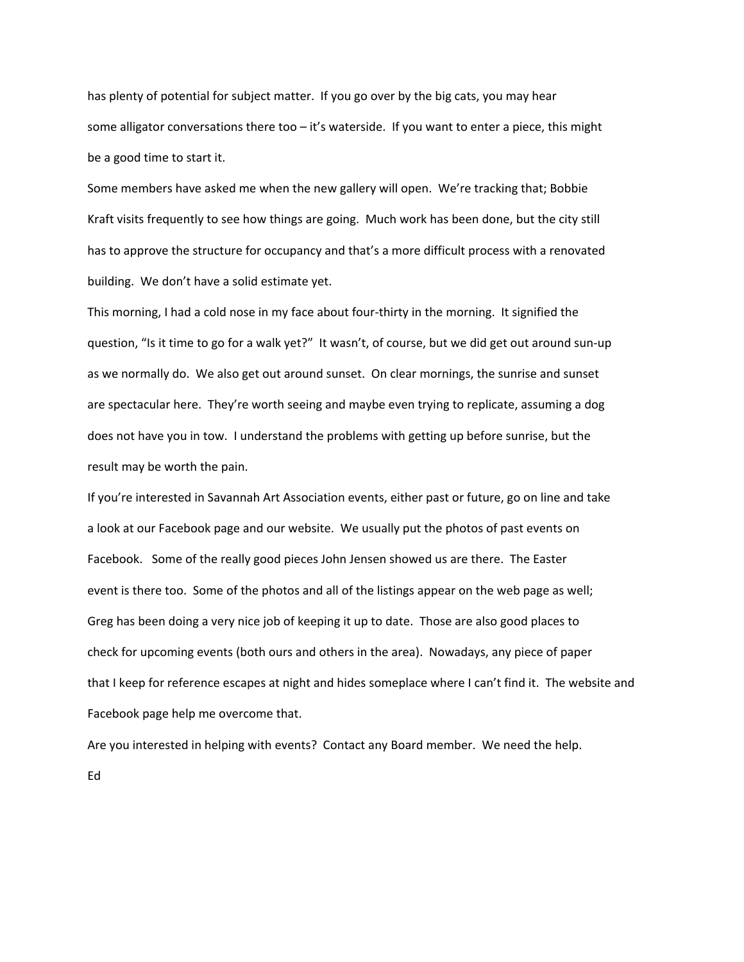has plenty of potential for subject matter. If you go over by the big cats, you may hear some alligator conversations there too – it's waterside. If you want to enter a piece, this might be a good time to start it.

Some members have asked me when the new gallery will open. We're tracking that; Bobbie Kraft visits frequently to see how things are going. Much work has been done, but the city still has to approve the structure for occupancy and that's a more difficult process with a renovated building. We don't have a solid estimate yet.

This morning, I had a cold nose in my face about four-thirty in the morning. It signified the question, "Is it time to go for a walk yet?" It wasn't, of course, but we did get out around sun-up as we normally do. We also get out around sunset. On clear mornings, the sunrise and sunset are spectacular here. They're worth seeing and maybe even trying to replicate, assuming a dog does not have you in tow. I understand the problems with getting up before sunrise, but the result may be worth the pain.

If you're interested in Savannah Art Association events, either past or future, go on line and take a look at our Facebook page and our website. We usually put the photos of past events on Facebook. Some of the really good pieces John Jensen showed us are there. The Easter event is there too. Some of the photos and all of the listings appear on the web page as well; Greg has been doing a very nice job of keeping it up to date. Those are also good places to check for upcoming events (both ours and others in the area). Nowadays, any piece of paper that I keep for reference escapes at night and hides someplace where I can't find it. The website and Facebook page help me overcome that.

Are you interested in helping with events? Contact any Board member. We need the help. Ed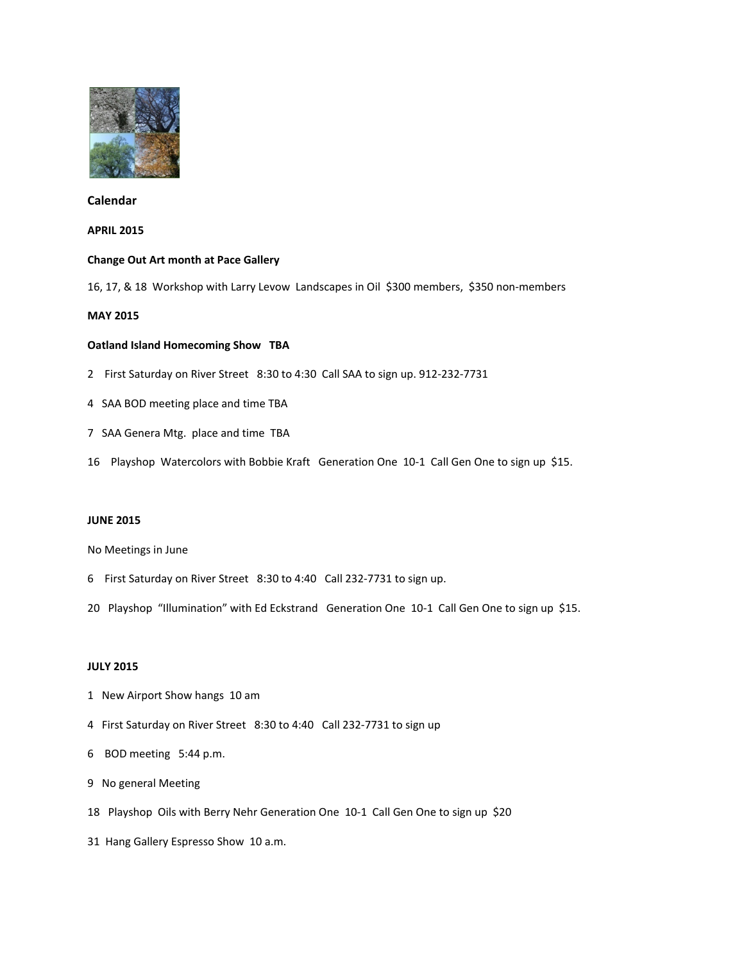

# **Calendar**

### **APRIL 2015**

### **Change Out Art month at Pace Gallery**

16, 17, & 18 Workshop with Larry Levow Landscapes in Oil \$300 members, \$350 non-members

# **MAY 2015**

## **Oatland Island Homecoming Show TBA**

- 2 First Saturday on River Street 8:30 to 4:30 Call SAA to sign up. 912-232-7731
- 4 SAA BOD meeting place and time TBA
- 7 SAA Genera Mtg. place and time TBA
- 16 Playshop Watercolors with Bobbie Kraft Generation One 10-1 Call Gen One to sign up \$15.

## **JUNE 2015**

#### No Meetings in June

- 6 First Saturday on River Street 8:30 to 4:40 Call 232-7731 to sign up.
- 20 Playshop "Illumination" with Ed Eckstrand Generation One 10-1 Call Gen One to sign up \$15.

#### **JULY 2015**

- 1 New Airport Show hangs 10 am
- 4 First Saturday on River Street 8:30 to 4:40 Call 232-7731 to sign up
- 6 BOD meeting 5:44 p.m.
- 9 No general Meeting
- 18 Playshop Oils with Berry Nehr Generation One 10-1 Call Gen One to sign up \$20
- 31 Hang Gallery Espresso Show 10 a.m.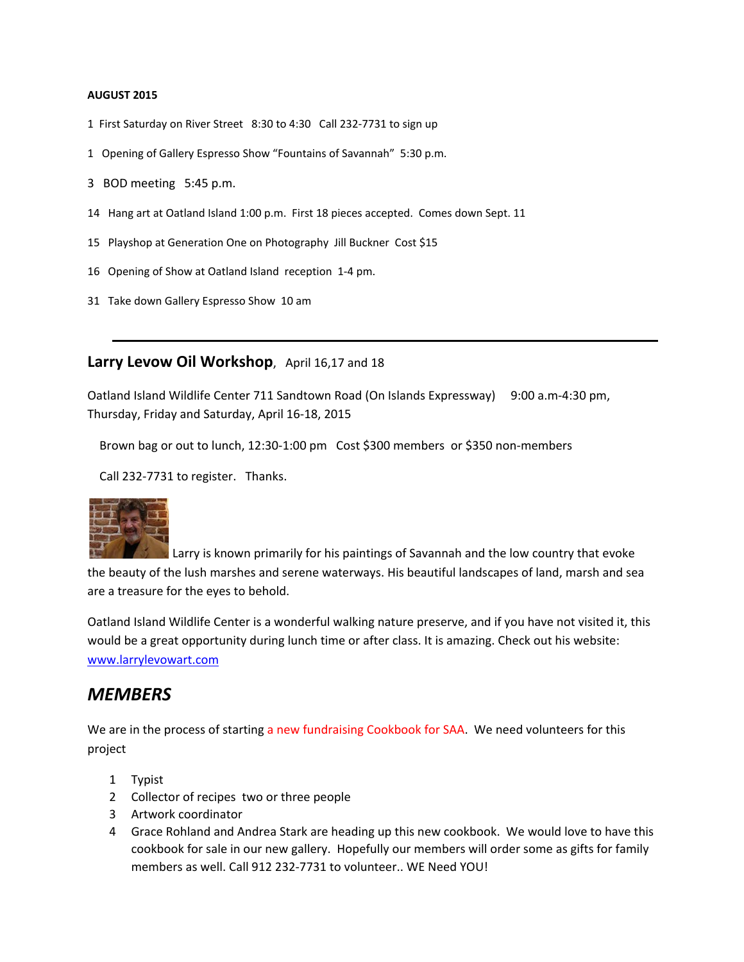### **AUGUST 2015**

- 1 First Saturday on River Street 8:30 to 4:30 Call 232-7731 to sign up
- 1 Opening of Gallery Espresso Show "Fountains of Savannah" 5:30 p.m.
- 3 BOD meeting 5:45 p.m.
- 14 Hang art at Oatland Island 1:00 p.m. First 18 pieces accepted. Comes down Sept. 11
- 15 Playshop at Generation One on Photography Jill Buckner Cost \$15
- 16 Opening of Show at Oatland Island reception 1-4 pm.
- 31 Take down Gallery Espresso Show 10 am

# **Larry Levow Oil Workshop**, April 16,17 and 18

Oatland Island Wildlife Center 711 Sandtown Road (On Islands Expressway) 9:00 a.m-4:30 pm, Thursday, Friday and Saturday, April 16-18, 2015

Brown bag or out to lunch, 12:30-1:00 pm Cost \$300 members or \$350 non-members

Call 232-7731 to register. Thanks.



Larry is known primarily for his paintings of Savannah and the low country that evoke the beauty of the lush marshes and serene waterways. His beautiful landscapes of land, marsh and sea are a treasure for the eyes to behold.

Oatland Island Wildlife Center is a wonderful walking nature preserve, and if you have not visited it, this would be a great opportunity during lunch time or after class. It is amazing. Check out his website: [www.larrylevowart.com](http://www.larrylevowart.com/)

# *MEMBERS*

We are in the process of starting a new fundraising Cookbook for SAA. We need volunteers for this project

- 1 Typist
- 2 Collector of recipes two or three people
- 3 Artwork coordinator
- 4 Grace Rohland and Andrea Stark are heading up this new cookbook. We would love to have this cookbook for sale in our new gallery. Hopefully our members will order some as gifts for family members as well. Call 912 232-7731 to volunteer.. WE Need YOU!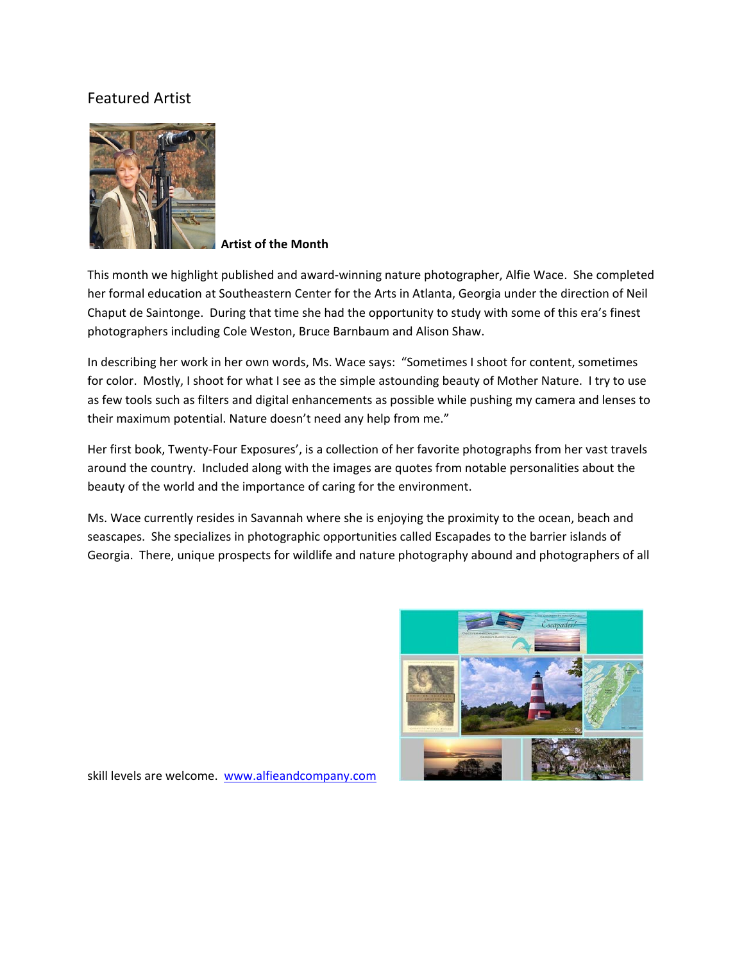# Featured Artist



**Artist of the Month**

This month we highlight published and award-winning nature photographer, Alfie Wace. She completed her formal education at Southeastern Center for the Arts in Atlanta, Georgia under the direction of Neil Chaput de Saintonge. During that time she had the opportunity to study with some of this era's finest photographers including Cole Weston, Bruce Barnbaum and Alison Shaw.

In describing her work in her own words, Ms. Wace says: "Sometimes I shoot for content, sometimes for color. Mostly, I shoot for what I see as the simple astounding beauty of Mother Nature. I try to use as few tools such as filters and digital enhancements as possible while pushing my camera and lenses to their maximum potential. Nature doesn't need any help from me."

Her first book, Twenty-Four Exposures', is a collection of her favorite photographs from her vast travels around the country. Included along with the images are quotes from notable personalities about the beauty of the world and the importance of caring for the environment.

Ms. Wace currently resides in Savannah where she is enjoying the proximity to the ocean, beach and seascapes. She specializes in photographic opportunities called Escapades to the barrier islands of Georgia. There, unique prospects for wildlife and nature photography abound and photographers of all



skill levels are welcome. [www.alfieandcompany.com](http://www.alfieandcompany.com/)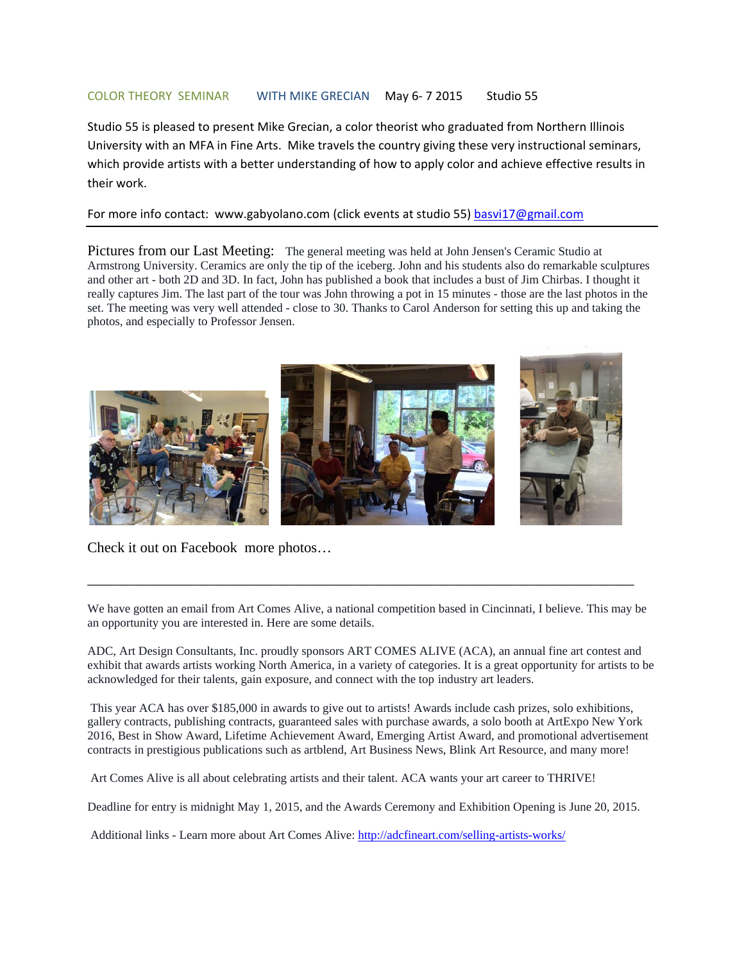## COLOR THEORY SEMINAR WITH MIKE GRECIAN May 6- 7 2015 Studio 55

Studio 55 is pleased to present Mike Grecian, a color theorist who graduated from Northern Illinois University with an MFA in Fine Arts. Mike travels the country giving these very instructional seminars, which provide artists with a better understanding of how to apply color and achieve effective results in their work.

## For more info contact: www.gabyolano.com (click events at studio 55) [basvi17@gmail.com](mailto:basvi17@gmail.com)

Pictures from our Last Meeting: The general meeting was held at John Jensen's Ceramic Studio at Armstrong University. Ceramics are only the tip of the iceberg. John and his students also do remarkable sculptures and other art - both 2D and 3D. In fact, John has published a book that includes a bust of Jim Chirbas. I thought it really captures Jim. The last part of the tour was John throwing a pot in 15 minutes - those are the last photos in the set. The meeting was very well attended - close to 30. Thanks to Carol Anderson for setting this up and taking the photos, and especially to Professor Jensen.



Check it out on Facebook more photos…

We have gotten an email from Art Comes Alive, a national competition based in Cincinnati, I believe. This may be an opportunity you are interested in. Here are some details.

\_\_\_\_\_\_\_\_\_\_\_\_\_\_\_\_\_\_\_\_\_\_\_\_\_\_\_\_\_\_\_\_\_\_\_\_\_\_\_\_\_\_\_\_\_\_\_\_\_\_\_\_\_\_\_\_\_\_\_\_\_\_\_\_\_\_\_\_\_\_\_\_\_\_\_

ADC, Art Design Consultants, Inc. proudly sponsors ART COMES ALIVE (ACA), an annual fine art contest and exhibit that awards artists working North America, in a variety of categories. It is a great opportunity for artists to be acknowledged for their talents, gain exposure, and connect with the top industry art leaders.

This year ACA has over \$185,000 in awards to give out to artists! Awards include cash prizes, solo exhibitions, gallery contracts, publishing contracts, guaranteed sales with purchase awards, a solo booth at ArtExpo New York 2016, Best in Show Award, Lifetime Achievement Award, Emerging Artist Award, and promotional advertisement contracts in prestigious publications such as artblend, Art Business News, Blink Art Resource, and many more!

Art Comes Alive is all about celebrating artists and their talent. ACA wants your art career to THRIVE!

Deadline for entry is midnight May 1, 2015, and the Awards Ceremony and Exhibition Opening is June 20, 2015.

Additional links - Learn more about Art Comes Alive[: http://adcfineart.com/selling-artists-works/](http://adcfineart.com/selling-artists-works/)